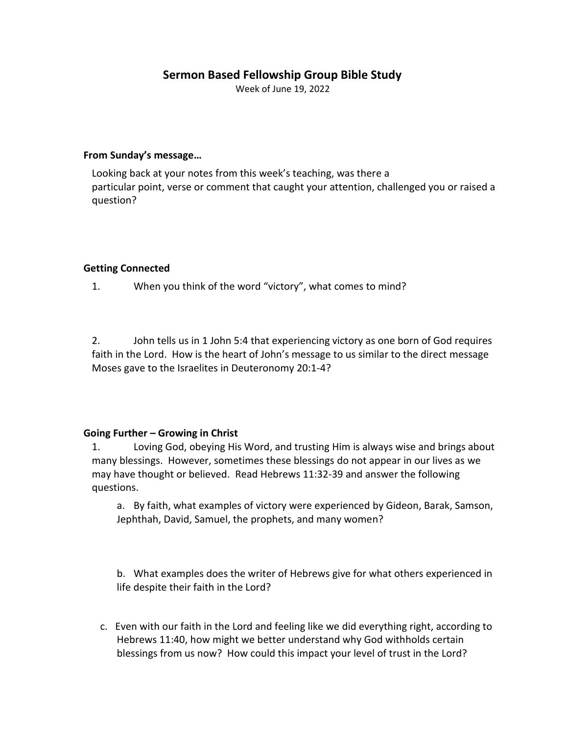# **Sermon Based Fellowship Group Bible Study**

Week of June 19, 2022

#### **From Sunday's message…**

Looking back at your notes from this week's teaching, was there a particular point, verse or comment that caught your attention, challenged you or raised a question?

### **Getting Connected**

1. When you think of the word "victory", what comes to mind?

2. John tells us in 1 John 5:4 that experiencing victory as one born of God requires faith in the Lord. How is the heart of John's message to us similar to the direct message Moses gave to the Israelites in Deuteronomy 20:1-4?

## **Going Further – Growing in Christ**

1. Loving God, obeying His Word, and trusting Him is always wise and brings about many blessings. However, sometimes these blessings do not appear in our lives as we may have thought or believed. Read Hebrews 11:32-39 and answer the following questions.

a. By faith, what examples of victory were experienced by Gideon, Barak, Samson, Jephthah, David, Samuel, the prophets, and many women?

b. What examples does the writer of Hebrews give for what others experienced in life despite their faith in the Lord?

c. Even with our faith in the Lord and feeling like we did everything right, according to Hebrews 11:40, how might we better understand why God withholds certain blessings from us now? How could this impact your level of trust in the Lord?